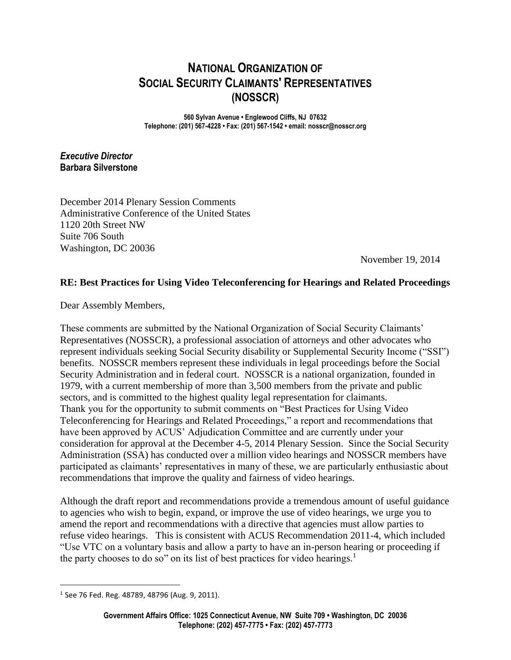# **NATIONAL ORGANIZATION OF SOCIAL SECURITY CLAIMANTS' REPRESENTATIVES (NOSSCR)**

**560 Sylvan Avenue • Englewood Cliffs, NJ 07632 Telephone: (201) 567-4228 • Fax: (201) 567-1542 • email: nosscr@nosscr.org**

*Executive Director* **Barbara Silverstone**

December 2014 Plenary Session Comments Administrative Conference of the United States 1120 20th Street NW Suite 706 South Washington, DC 20036

November 19, 2014

### **RE: Best Practices for Using Video Teleconferencing for Hearings and Related Proceedings**

Dear Assembly Members,

These comments are submitted by the National Organization of Social Security Claimants' Representatives (NOSSCR), a professional association of attorneys and other advocates who represent individuals seeking Social Security disability or Supplemental Security Income ("SSI") benefits. NOSSCR members represent these individuals in legal proceedings before the Social Security Administration and in federal court. NOSSCR is a national organization, founded in 1979, with a current membership of more than 3,500 members from the private and public sectors, and is committed to the highest quality legal representation for claimants. Thank you for the opportunity to submit comments on "Best Practices for Using Video Teleconferencing for Hearings and Related Proceedings," a report and recommendations that have been approved by ACUS' Adjudication Committee and are currently under your consideration for approval at the December 4-5, 2014 Plenary Session. Since the Social Security Administration (SSA) has conducted over a million video hearings and NOSSCR members have participated as claimants' representatives in many of these, we are particularly enthusiastic about recommendations that improve the quality and fairness of video hearings.

Although the draft report and recommendations provide a tremendous amount of useful guidance to agencies who wish to begin, expand, or improve the use of video hearings, we urge you to amend the report and recommendations with a directive that agencies must allow parties to refuse video hearings. This is consistent with ACUS Recommendation 2011-4, which included "Use VTC on a voluntary basis and allow a party to have an in-person hearing or proceeding if the party chooses to do so" on its list of best practices for video hearings.<sup>1</sup>

 $\overline{a}$ 

<sup>1</sup> See 76 Fed. Reg. 48789, 48796 (Aug. 9, 2011).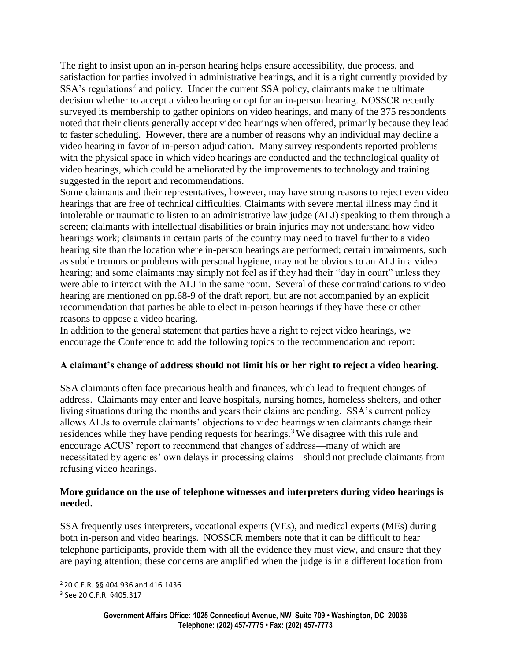The right to insist upon an in-person hearing helps ensure accessibility, due process, and satisfaction for parties involved in administrative hearings, and it is a right currently provided by SSA's regulations<sup>2</sup> and policy. Under the current SSA policy, claimants make the ultimate decision whether to accept a video hearing or opt for an in-person hearing. NOSSCR recently surveyed its membership to gather opinions on video hearings, and many of the 375 respondents noted that their clients generally accept video hearings when offered, primarily because they lead to faster scheduling. However, there are a number of reasons why an individual may decline a video hearing in favor of in-person adjudication. Many survey respondents reported problems with the physical space in which video hearings are conducted and the technological quality of video hearings, which could be ameliorated by the improvements to technology and training suggested in the report and recommendations.

Some claimants and their representatives, however, may have strong reasons to reject even video hearings that are free of technical difficulties. Claimants with severe mental illness may find it intolerable or traumatic to listen to an administrative law judge (ALJ) speaking to them through a screen; claimants with intellectual disabilities or brain injuries may not understand how video hearings work; claimants in certain parts of the country may need to travel further to a video hearing site than the location where in-person hearings are performed; certain impairments, such as subtle tremors or problems with personal hygiene, may not be obvious to an ALJ in a video hearing; and some claimants may simply not feel as if they had their "day in court" unless they were able to interact with the ALJ in the same room. Several of these contraindications to video hearing are mentioned on pp.68-9 of the draft report, but are not accompanied by an explicit recommendation that parties be able to elect in-person hearings if they have these or other reasons to oppose a video hearing.

In addition to the general statement that parties have a right to reject video hearings, we encourage the Conference to add the following topics to the recommendation and report:

### **A claimant's change of address should not limit his or her right to reject a video hearing.**

SSA claimants often face precarious health and finances, which lead to frequent changes of address. Claimants may enter and leave hospitals, nursing homes, homeless shelters, and other living situations during the months and years their claims are pending. SSA's current policy allows ALJs to overrule claimants' objections to video hearings when claimants change their residences while they have pending requests for hearings.<sup>3</sup> We disagree with this rule and encourage ACUS' report to recommend that changes of address—many of which are necessitated by agencies' own delays in processing claims—should not preclude claimants from refusing video hearings.

### **More guidance on the use of telephone witnesses and interpreters during video hearings is needed.**

SSA frequently uses interpreters, vocational experts (VEs), and medical experts (MEs) during both in-person and video hearings. NOSSCR members note that it can be difficult to hear telephone participants, provide them with all the evidence they must view, and ensure that they are paying attention; these concerns are amplified when the judge is in a different location from

 $\overline{a}$ 

<sup>2</sup> 20 C.F.R. §§ 404.936 and 416.1436.

<sup>3</sup> See [20](../AppData/Local/Microsoft/Windows/Temporary%20Internet%20Files/Content.Outlook/DLOVPWCP/20) C.F.R. §405.317